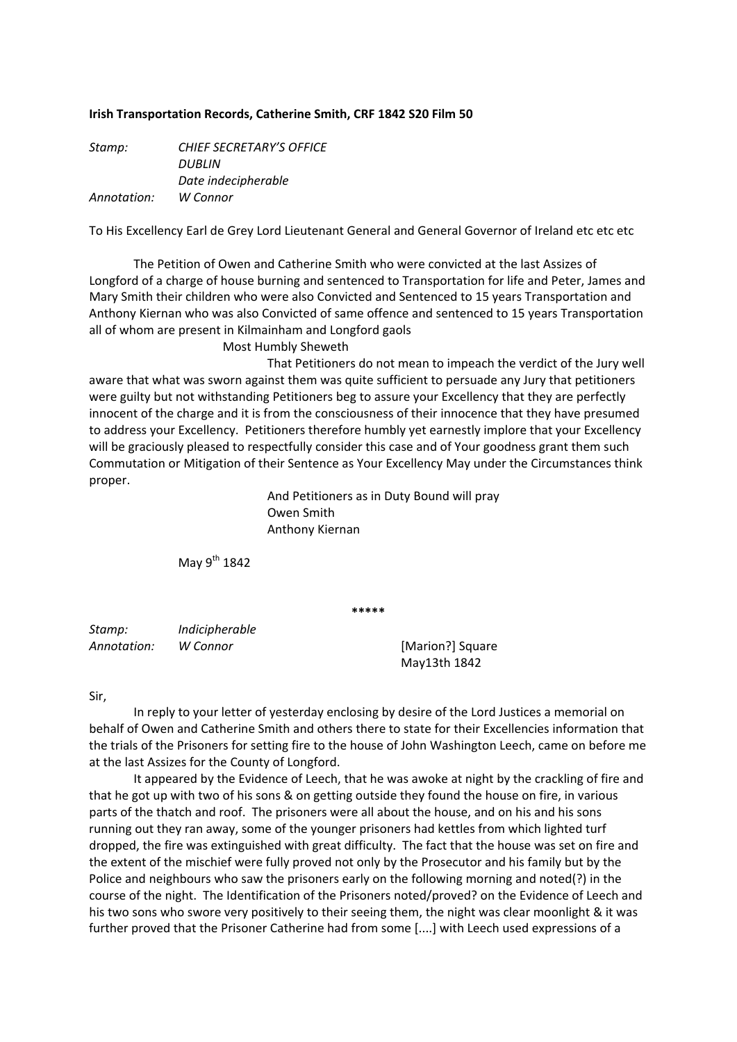## **Irish Transportation Records, Catherine Smith, CRF 1842 S20 Film 50**

| Stamp:      | <b>CHIEF SECRETARY'S OFFICE</b> |
|-------------|---------------------------------|
|             | DUBLIN                          |
|             | Date indecipherable             |
| Annotation: | W Connor                        |

To His Excellency Earl de Grey Lord Lieutenant General and General Governor of Ireland etc etc etc

The Petition of Owen and Catherine Smith who were convicted at the last Assizes of Longford of a charge of house burning and sentenced to Transportation for life and Peter, James and Mary Smith their children who were also Convicted and Sentenced to 15 years Transportation and Anthony Kiernan who was also Convicted of same offence and sentenced to 15 years Transportation all of whom are present in Kilmainham and Longford gaols

Most Humbly Sheweth

 That Petitioners do not mean to impeach the verdict of the Jury well aware that what was sworn against them was quite sufficient to persuade any Jury that petitioners were guilty but not withstanding Petitioners beg to assure your Excellency that they are perfectly innocent of the charge and it is from the consciousness of their innocence that they have presumed to address your Excellency. Petitioners therefore humbly yet earnestly implore that your Excellency will be graciously pleased to respectfully consider this case and of Your goodness grant them such Commutation or Mitigation of their Sentence as Your Excellency May under the Circumstances think proper.

> And Petitioners as in Duty Bound will pray Owen Smith Anthony Kiernan

May  $9^{th}$  1842

**\*\*\*\*\***

*Stamp: Indicipherable Annotation: W Connor* [Marion?] Square

May13th 1842

## Sir,

In reply to your letter of yesterday enclosing by desire of the Lord Justices a memorial on behalf of Owen and Catherine Smith and others there to state for their Excellencies information that the trials of the Prisoners for setting fire to the house of John Washington Leech, came on before me at the last Assizes for the County of Longford.

It appeared by the Evidence of Leech, that he was awoke at night by the crackling of fire and that he got up with two of his sons & on getting outside they found the house on fire, in various parts of the thatch and roof. The prisoners were all about the house, and on his and his sons running out they ran away, some of the younger prisoners had kettles from which lighted turf dropped, the fire was extinguished with great difficulty. The fact that the house was set on fire and the extent of the mischief were fully proved not only by the Prosecutor and his family but by the Police and neighbours who saw the prisoners early on the following morning and noted(?) in the course of the night. The Identification of the Prisoners noted/proved? on the Evidence of Leech and his two sons who swore very positively to their seeing them, the night was clear moonlight & it was further proved that the Prisoner Catherine had from some [....] with Leech used expressions of a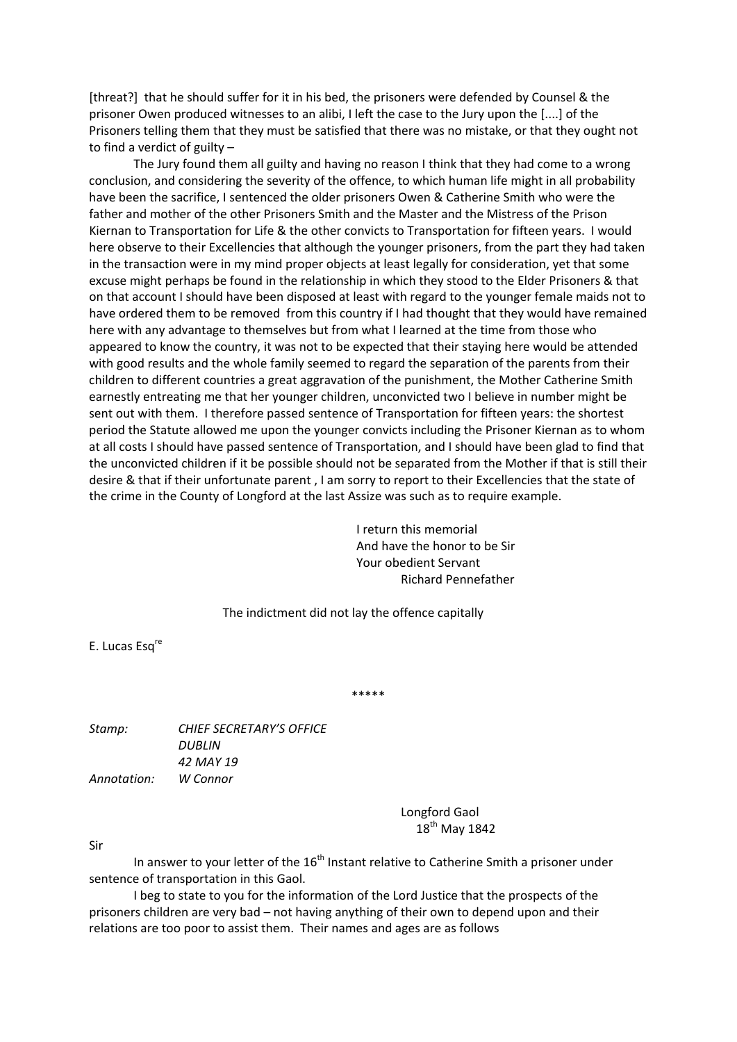[threat?] that he should suffer for it in his bed, the prisoners were defended by Counsel & the prisoner Owen produced witnesses to an alibi, I left the case to the Jury upon the [....] of the Prisoners telling them that they must be satisfied that there was no mistake, or that they ought not to find a verdict of guilty –

The Jury found them all guilty and having no reason I think that they had come to a wrong conclusion, and considering the severity of the offence, to which human life might in all probability have been the sacrifice, I sentenced the older prisoners Owen & Catherine Smith who were the father and mother of the other Prisoners Smith and the Master and the Mistress of the Prison Kiernan to Transportation for Life & the other convicts to Transportation for fifteen years. I would here observe to their Excellencies that although the younger prisoners, from the part they had taken in the transaction were in my mind proper objects at least legally for consideration, yet that some excuse might perhaps be found in the relationship in which they stood to the Elder Prisoners & that on that account I should have been disposed at least with regard to the younger female maids not to have ordered them to be removed from this country if I had thought that they would have remained here with any advantage to themselves but from what I learned at the time from those who appeared to know the country, it was not to be expected that their staying here would be attended with good results and the whole family seemed to regard the separation of the parents from their children to different countries a great aggravation of the punishment, the Mother Catherine Smith earnestly entreating me that her younger children, unconvicted two I believe in number might be sent out with them. I therefore passed sentence of Transportation for fifteen years: the shortest period the Statute allowed me upon the younger convicts including the Prisoner Kiernan as to whom at all costs I should have passed sentence of Transportation, and I should have been glad to find that the unconvicted children if it be possible should not be separated from the Mother if that is still their desire & that if their unfortunate parent , I am sorry to report to their Excellencies that the state of the crime in the County of Longford at the last Assize was such as to require example.

> I return this memorial And have the honor to be Sir Your obedient Servant Richard Pennefather

The indictment did not lay the offence capitally

E. Lucas Esq<sup>re</sup>

\*\*\*\*\*

*Stamp: CHIEF SECRETARY'S OFFICE DUBLIN 42 MAY 19 Annotation: W Connor*

> Longford Gaol 18<sup>th</sup> May 1842

Sir

In answer to your letter of the  $16<sup>th</sup>$  Instant relative to Catherine Smith a prisoner under sentence of transportation in this Gaol.

I beg to state to you for the information of the Lord Justice that the prospects of the prisoners children are very bad – not having anything of their own to depend upon and their relations are too poor to assist them. Their names and ages are as follows